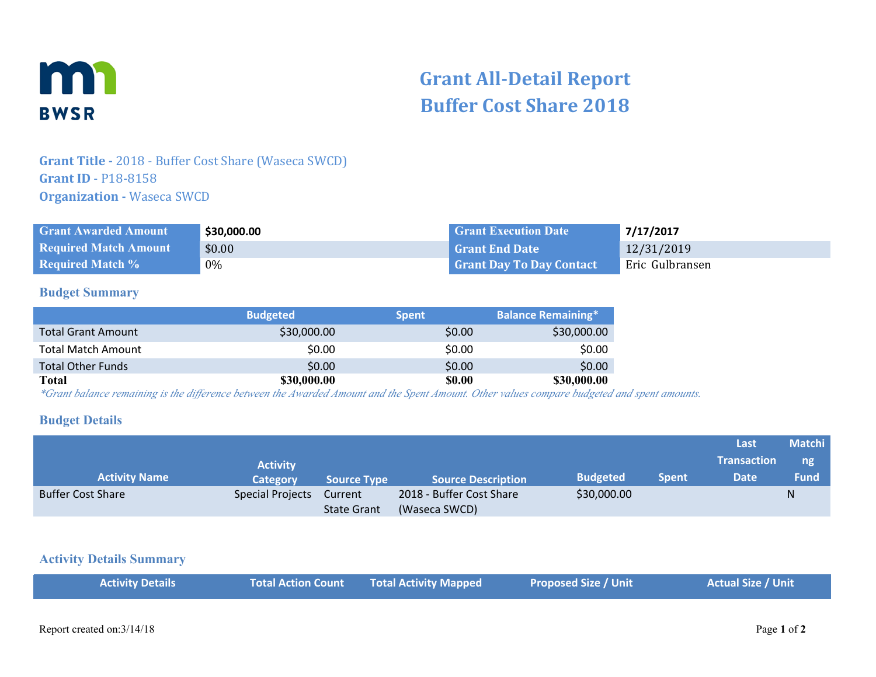

# **Grant All-Detail Report Buffer Cost Share 2018**

# **Grant Title -** 2018 - Buffer Cost Share (Waseca SWCD) **Grant ID** - P18-8158 **Organization - Waseca SWCD**

| <b>Grant Awarded Amount</b>  | \$30,000.00 | <b>Grant Execution Date</b>     | 7/17/2017       |
|------------------------------|-------------|---------------------------------|-----------------|
| <b>Required Match Amount</b> | \$0.00      | l Grant End Date                | 12/31/2019      |
| <b>Required Match %</b>      | 0%          | <b>Grant Day To Day Contact</b> | Eric Gulbransen |

#### **Budget Summary**

|                           | <b>Budgeted</b> | <b>Spent</b>  | <b>Balance Remaining*</b> |
|---------------------------|-----------------|---------------|---------------------------|
| <b>Total Grant Amount</b> | \$30,000.00     | \$0.00        | \$30,000.00               |
| <b>Total Match Amount</b> | \$0.00          | \$0.00        | \$0.00                    |
| <b>Total Other Funds</b>  | \$0.00          | \$0.00        | \$0.00                    |
| Total                     | \$30,000.00     | <b>\$0.00</b> | \$30,000.00               |

*\*Grant balance remaining is the difference between the Awarded Amount and the Spent Amount. Other values compare budgeted and spent amounts.*

#### **Budget Details**

|                          |                         |                    |                           |                 |              | Last               | <b>Matchi</b> |
|--------------------------|-------------------------|--------------------|---------------------------|-----------------|--------------|--------------------|---------------|
|                          | <b>Activity</b>         |                    |                           |                 |              | <b>Transaction</b> | ng            |
| <b>Activity Name</b>     | Category                | <b>Source Type</b> | <b>Source Description</b> | <b>Budgeted</b> | <b>Spent</b> | <b>Date</b>        | <b>Fund</b>   |
| <b>Buffer Cost Share</b> | <b>Special Projects</b> | Current            | 2018 - Buffer Cost Share  | \$30,000.00     |              |                    | N             |
|                          |                         | <b>State Grant</b> | (Waseca SWCD)             |                 |              |                    |               |

#### **Activity Details Summary**

|  | <b>Activity Details</b> |  | Total Action Count Total Activity Mapped | <b>Proposed Size / Unit</b> | <b>Actual Size / Unit</b> |
|--|-------------------------|--|------------------------------------------|-----------------------------|---------------------------|
|--|-------------------------|--|------------------------------------------|-----------------------------|---------------------------|